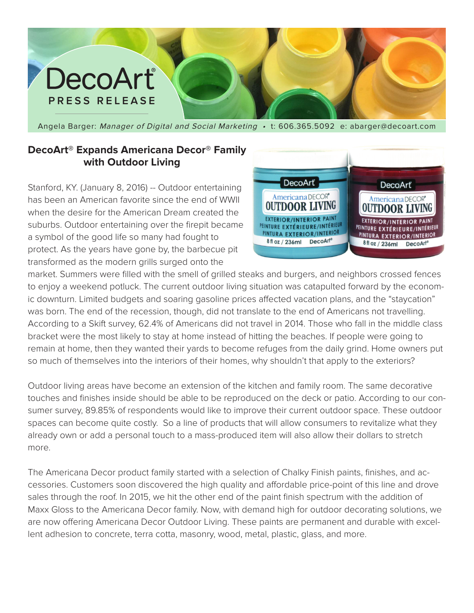## DecoArt® **PRESS RELEASE**

Angela Barger: Manager of Digital and Social Marketing • t: 606.365.5092 e: abarger@decoart.com

## **DecoArt® Expands Americana Decor® Family with Outdoor Living**

Stanford, KY. (January 8, 2016) -- Outdoor entertaining has been an American favorite since the end of WWII when the desire for the American Dream created the suburbs. Outdoor entertaining over the firepit became a symbol of the good life so many had fought to protect. As the years have gone by, the barbecue pit transformed as the modern grills surged onto the



market. Summers were filled with the smell of grilled steaks and burgers, and neighbors crossed fences to enjoy a weekend potluck. The current outdoor living situation was catapulted forward by the economic downturn. Limited budgets and soaring gasoline prices affected vacation plans, and the "staycation" was born. The end of the recession, though, did not translate to the end of Americans not travelling. According to a Skift survey, 62.4% of Americans did not travel in 2014. Those who fall in the middle class bracket were the most likely to stay at home instead of hitting the beaches. If people were going to remain at home, then they wanted their yards to become refuges from the daily grind. Home owners put so much of themselves into the interiors of their homes, why shouldn't that apply to the exteriors?

Outdoor living areas have become an extension of the kitchen and family room. The same decorative touches and finishes inside should be able to be reproduced on the deck or patio. According to our consumer survey, 89.85% of respondents would like to improve their current outdoor space. These outdoor spaces can become quite costly. So a line of products that will allow consumers to revitalize what they already own or add a personal touch to a mass-produced item will also allow their dollars to stretch more.

The Americana Decor product family started with a selection of Chalky Finish paints, finishes, and accessories. Customers soon discovered the high quality and affordable price-point of this line and drove sales through the roof. In 2015, we hit the other end of the paint finish spectrum with the addition of Maxx Gloss to the Americana Decor family. Now, with demand high for outdoor decorating solutions, we are now offering Americana Decor Outdoor Living. These paints are permanent and durable with excellent adhesion to concrete, terra cotta, masonry, wood, metal, plastic, glass, and more.